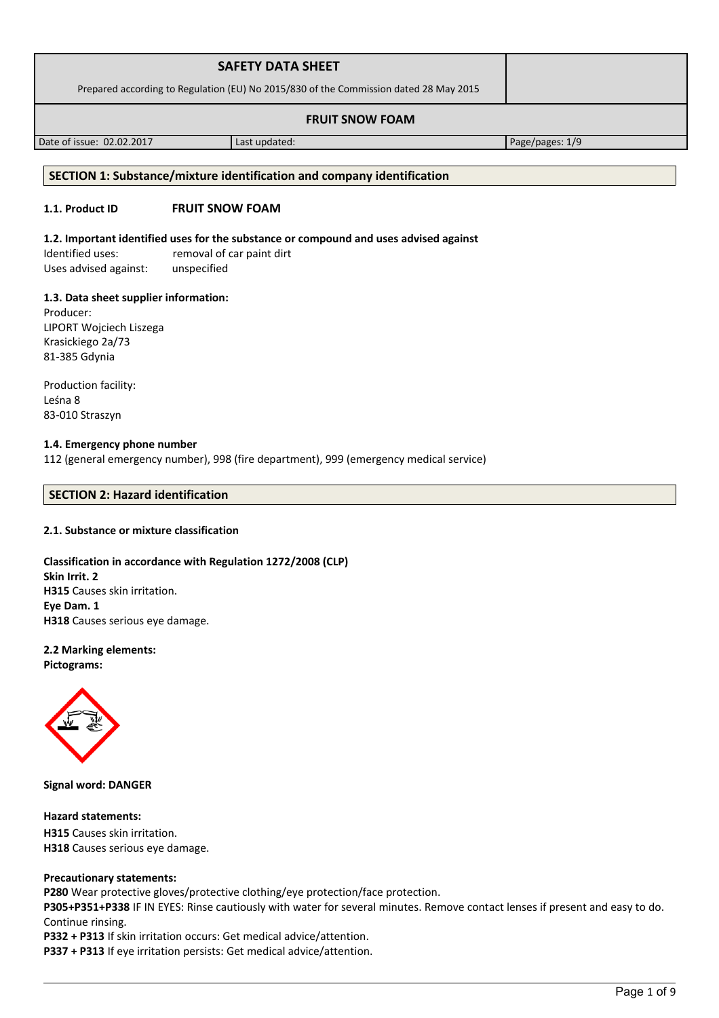| <b>SAFETY DATA SHEET</b>                                                              |  |
|---------------------------------------------------------------------------------------|--|
| Prepared according to Regulation (EU) No 2015/830 of the Commission dated 28 May 2015 |  |
| <b>FRUIT SNOW FOAM</b>                                                                |  |

Date of issue: 02.02.2017 Last updated: Page/pages: 1/9

### **SECTION 1: Substance/mixture identification and company identification**

# **1.1. Product ID FRUIT SNOW FOAM**

### **1.2. Important identified uses for the substance or compound and uses advised against**

Identified uses: removal of car paint dirt Uses advised against: unspecified

#### **1.3. Data sheet supplier information:**

Producer: LIPORT Wojciech Liszega Krasickiego 2a/73 81-385 Gdynia

Production facility: Leśna 8 83-010 Straszyn

## **1.4. Emergency phone number**

112 (general emergency number), 998 (fire department), 999 (emergency medical service)

# **SECTION 2: Hazard identification**

### **2.1. Substance or mixture classification**

# **Classification in accordance with Regulation 1272/2008 (CLP) Skin Irrit. 2 H315** Causes skin irritation. **Eye Dam. 1 H318** Causes serious eye damage.

#### **2.2 Marking elements: Pictograms:**



**Signal word: DANGER**

**Hazard statements: H315** Causes skin irritation. **H318** Causes serious eye damage.

### **Precautionary statements:**

**P280** Wear protective gloves/protective clothing/eye protection/face protection.

**P305+P351+P338** IF IN EYES: Rinse cautiously with water for several minutes. Remove contact lenses if present and easy to do. Continue rinsing.

**P332 + P313** If skin irritation occurs: Get medical advice/attention.

**P337 + P313** If eye irritation persists: Get medical advice/attention.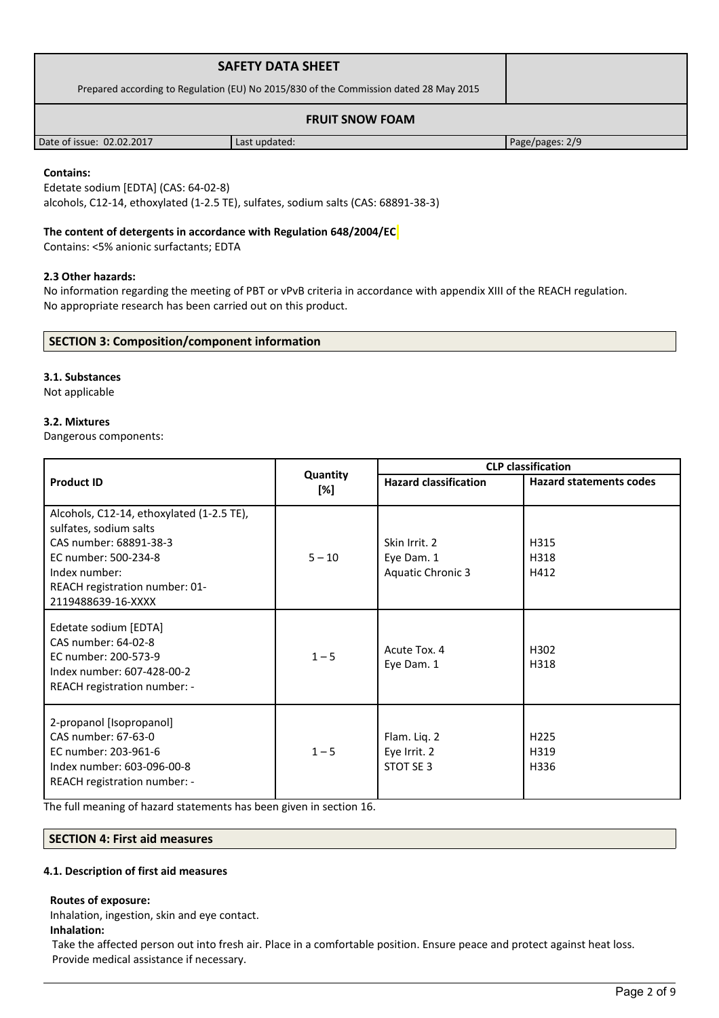| <b>SAFETY DATA SHEET</b>                                                              |               |                 |  |
|---------------------------------------------------------------------------------------|---------------|-----------------|--|
| Prepared according to Regulation (EU) No 2015/830 of the Commission dated 28 May 2015 |               |                 |  |
| <b>FRUIT SNOW FOAM</b>                                                                |               |                 |  |
| Date of issue: 02.02.2017                                                             | Last updated: | Page/pages: 2/9 |  |

### **Contains:**

Edetate sodium [EDTA] (CAS: 64-02-8) alcohols, C12-14, ethoxylated (1-2.5 TE), sulfates, sodium salts (CAS: 68891-38-3)

## **The content of detergents in accordance with Regulation 648/2004/EC**

Contains: <5% anionic surfactants; EDTA

### **2.3 Other hazards:**

No information regarding the meeting of PBT or vPvB criteria in accordance with appendix XIII of the REACH regulation. No appropriate research has been carried out on this product.

### **SECTION 3: Composition/component information**

### **3.1. Substances**

Not applicable

### **3.2. Mixtures**

Dangerous components:

|                                                                                                                                                                                                |                 | <b>CLP classification</b>                               |                                  |  |
|------------------------------------------------------------------------------------------------------------------------------------------------------------------------------------------------|-----------------|---------------------------------------------------------|----------------------------------|--|
| <b>Product ID</b>                                                                                                                                                                              | Quantity<br>[%] | <b>Hazard classification</b>                            | <b>Hazard statements codes</b>   |  |
| Alcohols, C12-14, ethoxylated (1-2.5 TE),<br>sulfates, sodium salts<br>CAS number: 68891-38-3<br>EC number: 500-234-8<br>Index number:<br>REACH registration number: 01-<br>2119488639-16-XXXX | $5 - 10$        | Skin Irrit. 2<br>Eye Dam. 1<br><b>Aquatic Chronic 3</b> | H315<br>H318<br>H412             |  |
| Edetate sodium [EDTA]<br>CAS number: 64-02-8<br>EC number: 200-573-9<br>Index number: 607-428-00-2<br>REACH registration number: -                                                             | $1 - 5$         | Acute Tox. 4<br>Eye Dam. 1                              | H <sub>302</sub><br>H318         |  |
| 2-propanol [Isopropanol]<br>CAS number: 67-63-0<br>EC number: 203-961-6<br>Index number: 603-096-00-8<br>REACH registration number: -                                                          | $1 - 5$         | Flam. Liq. 2<br>Eye Irrit. 2<br>STOT SE 3               | H <sub>225</sub><br>H319<br>H336 |  |

The full meaning of hazard statements has been given in section 16.

# **SECTION 4: First aid measures**

#### **4.1. Description of first aid measures**

#### **Routes of exposure:**

Inhalation, ingestion, skin and eye contact.

**Inhalation:**

Take the affected person out into fresh air. Place in a comfortable position. Ensure peace and protect against heat loss. Provide medical assistance if necessary.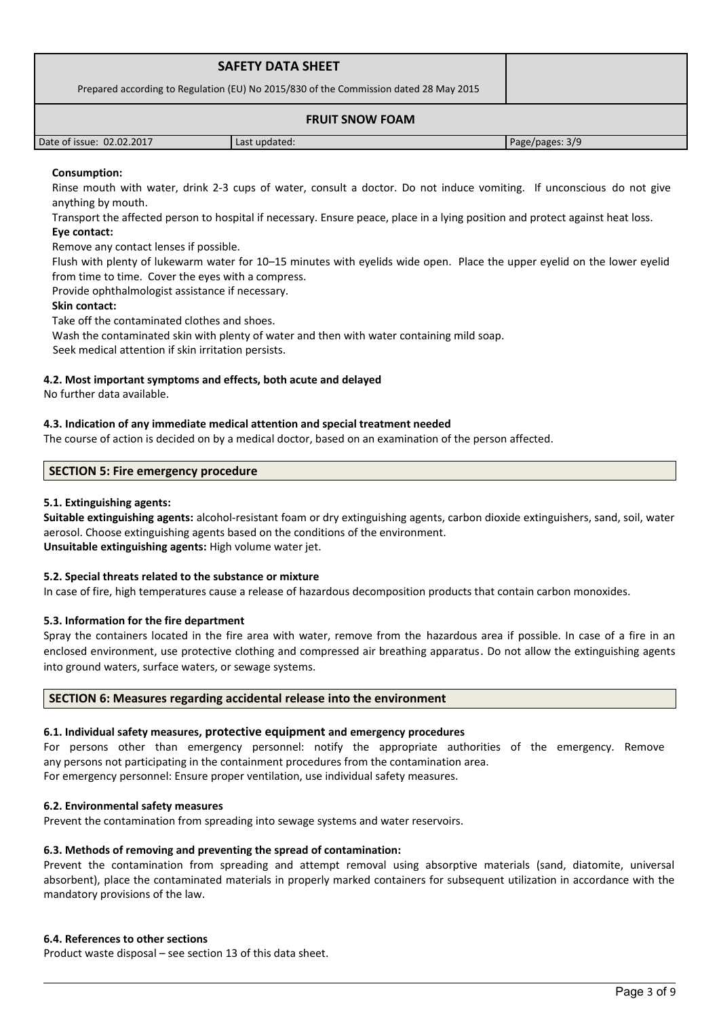|                                                                                       | <b>SAFETY DATA SHEET</b> |                 |
|---------------------------------------------------------------------------------------|--------------------------|-----------------|
| Prepared according to Regulation (EU) No 2015/830 of the Commission dated 28 May 2015 |                          |                 |
|                                                                                       |                          |                 |
| Date of issue: 02.02.2017                                                             | Last updated:            | Page/pages: 3/9 |

# **Consumption:**

Rinse mouth with water, drink 2-3 cups of water, consult a doctor. Do not induce vomiting. If unconscious do not give anything by mouth.

Transport the affected person to hospital if necessary. Ensure peace, place in a lying position and protect against heat loss. **Eye contact:**

Remove any contact lenses if possible.

Flush with plenty of lukewarm water for 10–15 minutes with eyelids wide open. Place the upper eyelid on the lower eyelid from time to time. Cover the eyes with a compress.

Provide ophthalmologist assistance if necessary.

### **Skin contact:**

Take off the contaminated clothes and shoes.

Wash the contaminated skin with plenty of water and then with water containing mild soap.

Seek medical attention if skin irritation persists.

### **4.2. Most important symptoms and effects, both acute and delayed**

No further data available.

### **4.3. Indication of any immediate medical attention and special treatment needed**

The course of action is decided on by a medical doctor, based on an examination of the person affected.

### **SECTION 5: Fire emergency procedure**

### **5.1. Extinguishing agents:**

**Suitable extinguishing agents:** alcohol-resistant foam or dry extinguishing agents, carbon dioxide extinguishers, sand, soil, water aerosol. Choose extinguishing agents based on the conditions of the environment. **Unsuitable extinguishing agents:** High volume water jet.

### **5.2. Special threats related to the substance or mixture**

In case of fire, high temperatures cause a release of hazardous decomposition products that contain carbon monoxides.

### **5.3. Information for the fire department**

Spray the containers located in the fire area with water, remove from the hazardous area if possible. In case of a fire in an enclosed environment, use protective clothing and compressed air breathing apparatus. Do not allow the extinguishing agents into ground waters, surface waters, or sewage systems.

## **SECTION 6: Measures regarding accidental release into the environment**

### **6.1. Individual safety measures, protective equipment and emergency procedures**

For persons other than emergency personnel: notify the appropriate authorities of the emergency. Remove any persons not participating in the containment procedures from the contamination area. For emergency personnel: Ensure proper ventilation, use individual safety measures.

#### **6.2. Environmental safety measures**

Prevent the contamination from spreading into sewage systems and water reservoirs.

#### **6.3. Methods of removing and preventing the spread of contamination:**

Prevent the contamination from spreading and attempt removal using absorptive materials (sand, diatomite, universal absorbent), place the contaminated materials in properly marked containers for subsequent utilization in accordance with the mandatory provisions of the law.

#### **6.4. References to other sections**

Product waste disposal – see section 13 of this data sheet.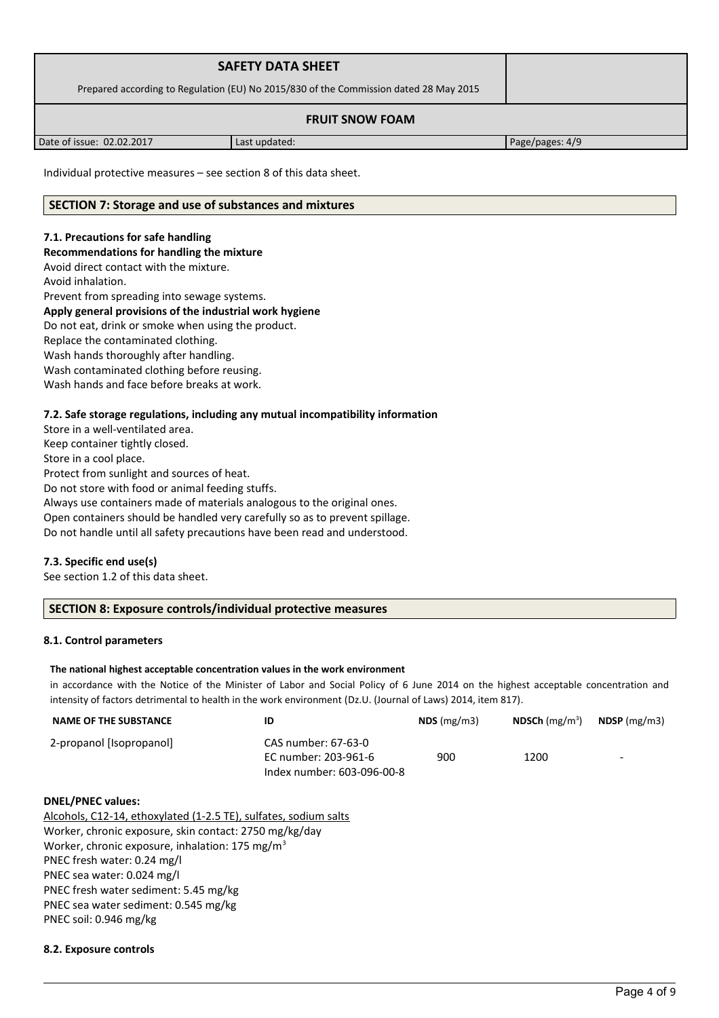| <b>SAFETY DATA SHEET</b>                                                              |                   |                                                  |  |
|---------------------------------------------------------------------------------------|-------------------|--------------------------------------------------|--|
| Prepared according to Regulation (EU) No 2015/830 of the Commission dated 28 May 2015 |                   |                                                  |  |
| <b>FRUIT SNOW FOAM</b>                                                                |                   |                                                  |  |
|                                                                                       | $\cdots$ $\cdots$ | $\sim$ $\sim$ $\sim$ $\sim$ $\sim$ $\sim$ $\sim$ |  |

Date of issue: 02.02.2017 | Last updated: Page/pages: 4/9

Individual protective measures – see section 8 of this data sheet.

# **SECTION 7: Storage and use of substances and mixtures**

# **7.1. Precautions for safe handling**

## **Recommendations for handling the mixture**

Avoid direct contact with the mixture.

Avoid inhalation.

Prevent from spreading into sewage systems.

# **Apply general provisions of the industrial work hygiene**

Do not eat, drink or smoke when using the product.

Replace the contaminated clothing.

Wash hands thoroughly after handling.

Wash contaminated clothing before reusing.

Wash hands and face before breaks at work.

# **7.2. Safe storage regulations, including any mutual incompatibility information**

Store in a well-ventilated area. Keep container tightly closed. Store in a cool place. Protect from sunlight and sources of heat. Do not store with food or animal feeding stuffs. Always use containers made of materials analogous to the original ones. Open containers should be handled very carefully so as to prevent spillage. Do not handle until all safety precautions have been read and understood.

# **7.3. Specific end use(s)**

See section 1.2 of this data sheet.

# **SECTION 8: Exposure controls/individual protective measures**

### **8.1. Control parameters**

### **The national highest acceptable concentration values in the work environment**

in accordance with the Notice of the Minister of Labor and Social Policy of 6 June 2014 on the highest acceptable concentration and intensity of factors detrimental to health in the work environment (Dz.U. (Journal of Laws) 2014, item 817).

| <b>NAME OF THE SUBSTANCE</b> |                                             | $NDS$ (mg/m3) | <b>NDSCh</b> (mg/m <sup>3</sup> ) | $N$ DSP (mg/m3)          |
|------------------------------|---------------------------------------------|---------------|-----------------------------------|--------------------------|
| 2-propanol [Isopropanol]     | CAS number: 67-63-0<br>EC number: 203-961-6 | 900           | 1200                              | $\overline{\phantom{0}}$ |
|                              | Index number: 603-096-00-8                  |               |                                   |                          |

## **DNEL/PNEC values:**

Alcohols, C12-14, ethoxylated (1-2.5 TE), sulfates, sodium salts Worker, chronic exposure, skin contact: 2750 mg/kg/day Worker, chronic exposure, inhalation: 175 mg/m<sup>3</sup> PNEC fresh water: 0.24 mg/l PNEC sea water: 0.024 mg/l PNEC fresh water sediment: 5.45 mg/kg PNEC sea water sediment: 0.545 mg/kg PNEC soil: 0.946 mg/kg

### **8.2. Exposure controls**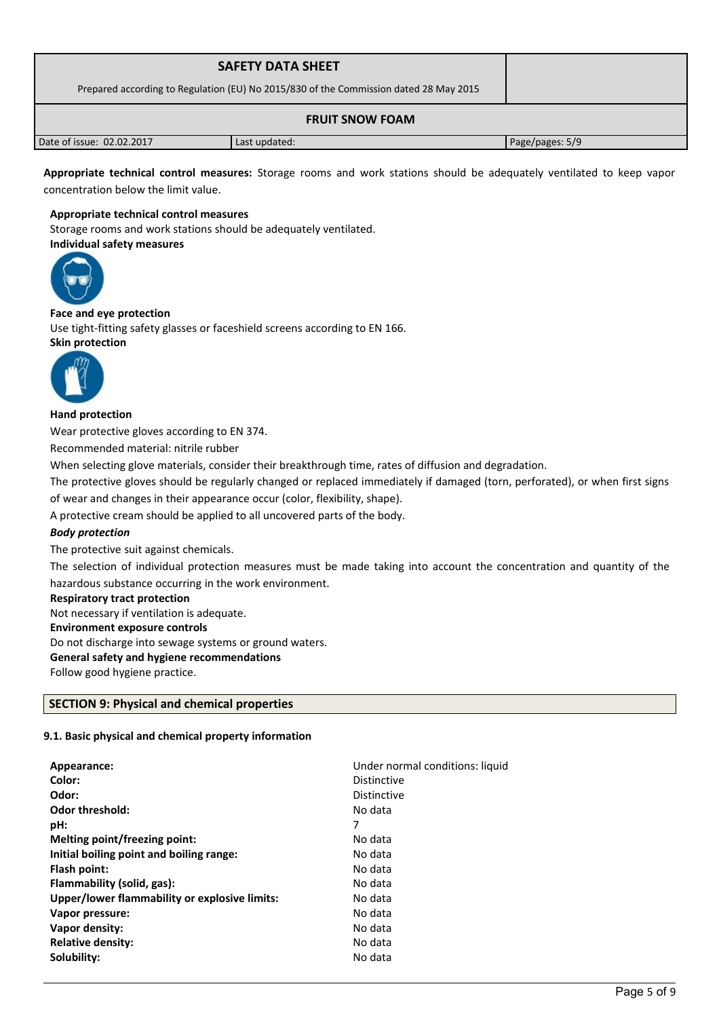| <b>SAFETY DATA SHEET</b><br>Prepared according to Regulation (EU) No 2015/830 of the Commission dated 28 May 2015 |               |                 |
|-------------------------------------------------------------------------------------------------------------------|---------------|-----------------|
|                                                                                                                   |               |                 |
| Date of issue: 02.02.2017                                                                                         | Last updated: | Page/pages: 5/9 |

**Appropriate technical control measures:** Storage rooms and work stations should be adequately ventilated to keep vapor concentration below the limit value.

#### **Appropriate technical control measures**

Storage rooms and work stations should be adequately ventilated. **Individual safety measures** 



## **Face and eye protection**

Use tight-fitting safety glasses or faceshield screens according to EN 166. **Skin protection** 



#### **Hand protection**

Wear protective gloves according to EN 374.

Recommended material: nitrile rubber

When selecting glove materials, consider their breakthrough time, rates of diffusion and degradation.

The protective gloves should be regularly changed or replaced immediately if damaged (torn, perforated), or when first signs of wear and changes in their appearance occur (color, flexibility, shape).

A protective cream should be applied to all uncovered parts of the body.

### *Body protection*

The protective suit against chemicals.

The selection of individual protection measures must be made taking into account the concentration and quantity of the hazardous substance occurring in the work environment.

#### **Respiratory tract protection**

Not necessary if ventilation is adequate. **Environment exposure controls**  Do not discharge into sewage systems or ground waters. **General safety and hygiene recommendations**

Follow good hygiene practice.

# **SECTION 9: Physical and chemical properties**

# **9.1. Basic physical and chemical property information**

| Appearance:                                   | Under normal conditions: liquid |
|-----------------------------------------------|---------------------------------|
| Color:                                        | <b>Distinctive</b>              |
| Odor:                                         | Distinctive                     |
| <b>Odor threshold:</b>                        | No data                         |
| pH:                                           | 7                               |
| Melting point/freezing point:                 | No data                         |
| Initial boiling point and boiling range:      | No data                         |
| Flash point:                                  | No data                         |
| Flammability (solid, gas):                    | No data                         |
| Upper/lower flammability or explosive limits: | No data                         |
| Vapor pressure:                               | No data                         |
| Vapor density:                                | No data                         |
| <b>Relative density:</b>                      | No data                         |
| Solubility:                                   | No data                         |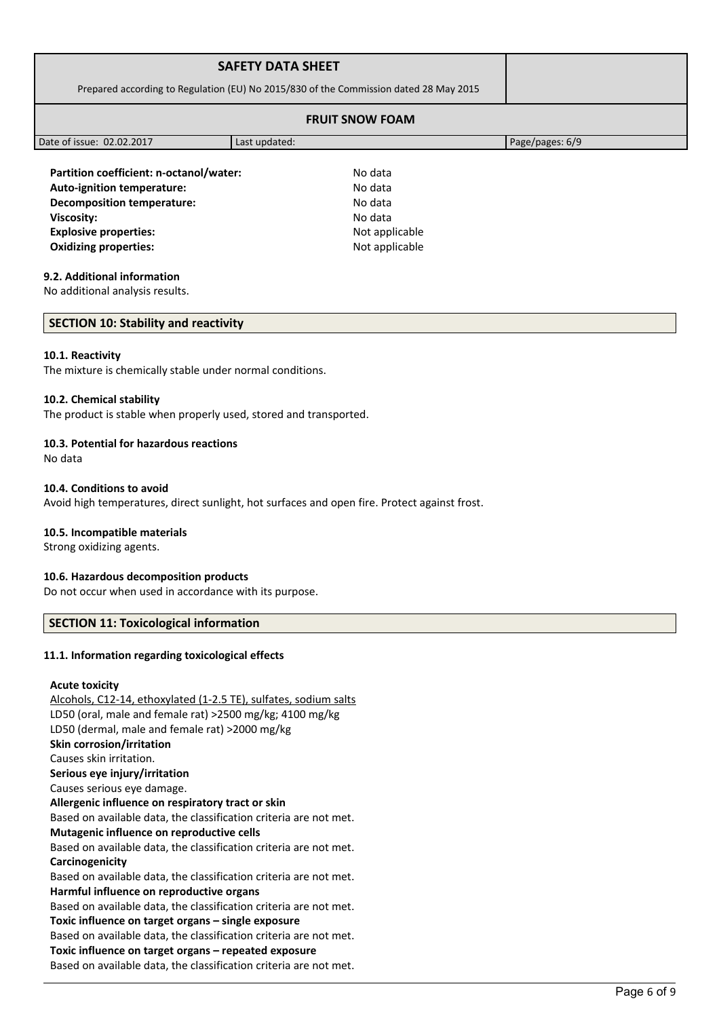| <b>SAFETY DATA SHEET</b>                                                              |               |                 |
|---------------------------------------------------------------------------------------|---------------|-----------------|
| Prepared according to Regulation (EU) No 2015/830 of the Commission dated 28 May 2015 |               |                 |
| <b>FRUIT SNOW FOAM</b>                                                                |               |                 |
| Date of issue: 02.02.2017                                                             | Last updated: | Page/pages: 6/9 |

**Partition coefficient: n-octanol/water:** No data **Auto-ignition temperature:** No data **Decomposition temperature:** No data **Viscosity:** No data **Explosive properties:**  $\blacksquare$  Not applicable **Oxidizing properties:** Not applicable

# **9.2. Additional information**

No additional analysis results.

# **SECTION 10: Stability and reactivity**

#### **10.1. Reactivity**

The mixture is chemically stable under normal conditions.

#### **10.2. Chemical stability**

The product is stable when properly used, stored and transported.

### **10.3. Potential for hazardous reactions**

No data

#### **10.4. Conditions to avoid**

Avoid high temperatures, direct sunlight, hot surfaces and open fire. Protect against frost.

### **10.5. Incompatible materials**

Strong oxidizing agents.

### **10.6. Hazardous decomposition products**

Do not occur when used in accordance with its purpose.

### **SECTION 11: Toxicological information**

#### **11.1. Information regarding toxicological effects**

#### **Acute toxicity**

Alcohols, C12-14, ethoxylated (1-2.5 TE), sulfates, sodium salts LD50 (oral, male and female rat) >2500 mg/kg; 4100 mg/kg LD50 (dermal, male and female rat) >2000 mg/kg **Skin corrosion/irritation** Causes skin irritation. **Serious eye injury/irritation** Causes serious eye damage. **Allergenic influence on respiratory tract or skin** Based on available data, the classification criteria are not met. **Mutagenic influence on reproductive cells** Based on available data, the classification criteria are not met. **Carcinogenicity** Based on available data, the classification criteria are not met. **Harmful influence on reproductive organs** Based on available data, the classification criteria are not met. **Toxic influence on target organs – single exposure** Based on available data, the classification criteria are not met. **Toxic influence on target organs – repeated exposure** Based on available data, the classification criteria are not met.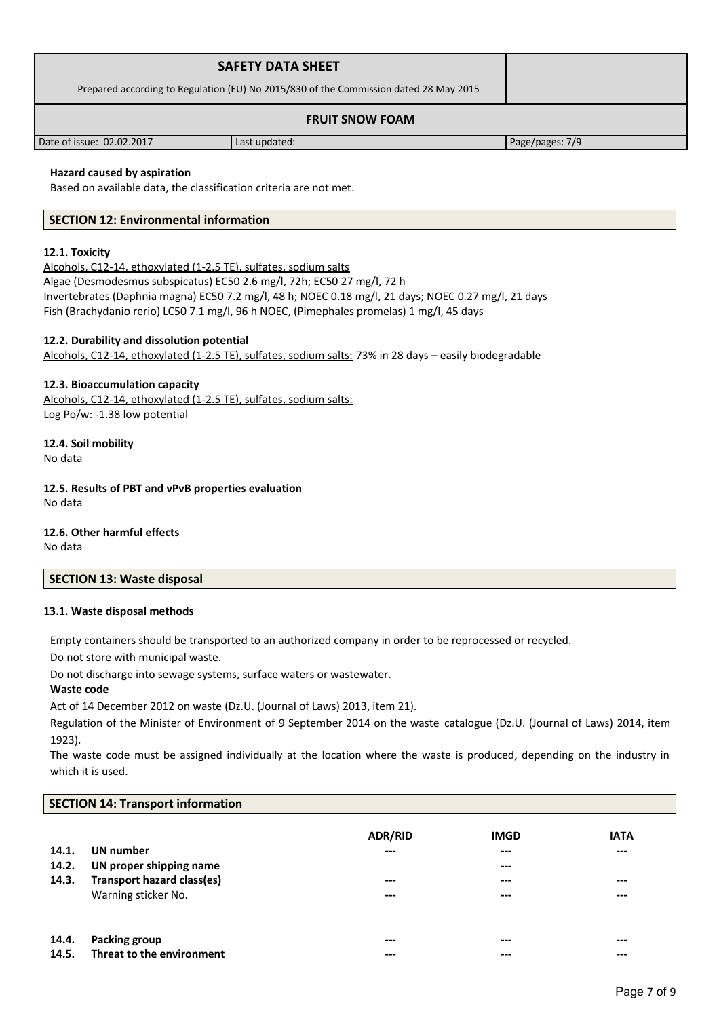|                                                                                       | <b>SAFETY DATA SHEET</b> |                 |  |
|---------------------------------------------------------------------------------------|--------------------------|-----------------|--|
| Prepared according to Regulation (EU) No 2015/830 of the Commission dated 28 May 2015 |                          |                 |  |
| <b>FRUIT SNOW FOAM</b>                                                                |                          |                 |  |
| Date of issue: 02.02.2017                                                             | Last updated:            | Page/pages: 7/9 |  |

# **Hazard caused by aspiration**

Based on available data, the classification criteria are not met.

## **SECTION 12: Environmental information**

#### **12.1. Toxicity**

Alcohols, C12-14, ethoxylated (1-2.5 TE), sulfates, sodium salts Algae (Desmodesmus subspicatus) EC50 2.6 mg/l, 72h; EC50 27 mg/l, 72 h Invertebrates (Daphnia magna) EC50 7.2 mg/l, 48 h; NOEC 0.18 mg/l, 21 days; NOEC 0.27 mg/l, 21 days Fish (Brachydanio rerio) LC50 7.1 mg/l, 96 h NOEC, (Pimephales promelas) 1 mg/l, 45 days

# **12.2. Durability and dissolution potential**

Alcohols, C12-14, ethoxylated (1-2.5 TE), sulfates, sodium salts: 73% in 28 days – easily biodegradable

#### **12.3. Bioaccumulation capacity**

Alcohols, C12-14, ethoxylated (1-2.5 TE), sulfates, sodium salts: Log Po/w: -1.38 low potential

**12.4. Soil mobility** No data

**12.5. Results of PBT and vPvB properties evaluation** No data

**12.6. Other harmful effects**

No data

## **SECTION 13: Waste disposal**

#### **13.1. Waste disposal methods**

Empty containers should be transported to an authorized company in order to be reprocessed or recycled.

Do not store with municipal waste.

Do not discharge into sewage systems, surface waters or wastewater.

#### **Waste code**

Act of 14 December 2012 on waste (Dz.U. (Journal of Laws) 2013, item 21).

Regulation of the Minister of Environment of 9 September 2014 on the waste catalogue (Dz.U. (Journal of Laws) 2014, item 1923).

The waste code must be assigned individually at the location where the waste is produced, depending on the industry in which it is used.

#### **SECTION 14: Transport information**

| 14.1.<br>14.2.<br>14.3. | UN number<br>UN proper shipping name<br><b>Transport hazard class(es)</b><br>Warning sticker No. | <b>ADR/RID</b><br>---<br>---<br>--- | <b>IMGD</b><br>$---$<br>$---$<br>$---$<br>$---$ | <b>IATA</b><br>$- - -$<br>---<br>$- - -$ |
|-------------------------|--------------------------------------------------------------------------------------------------|-------------------------------------|-------------------------------------------------|------------------------------------------|
| 14.4.                   | <b>Packing group</b>                                                                             | ---                                 | $---$                                           | $---$                                    |
| 14.5.                   | Threat to the environment                                                                        | ---                                 | ---                                             | ---                                      |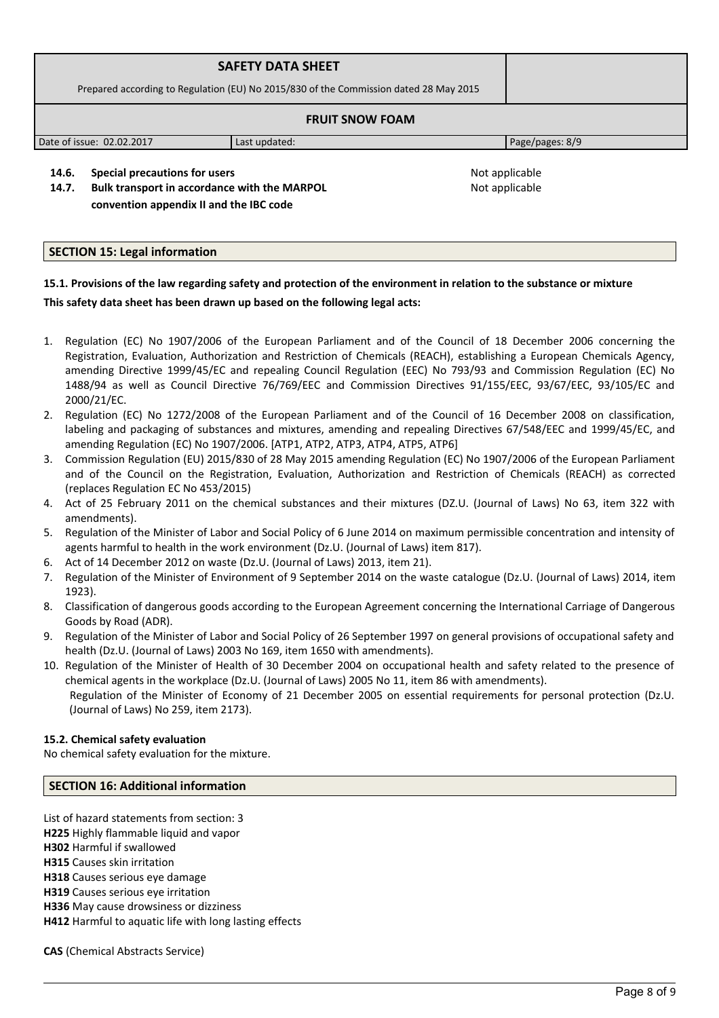|                                                                                       | <b>SAFETY DATA SHEET</b> |                 |  |
|---------------------------------------------------------------------------------------|--------------------------|-----------------|--|
| Prepared according to Regulation (EU) No 2015/830 of the Commission dated 28 May 2015 |                          |                 |  |
| <b>FRUIT SNOW FOAM</b>                                                                |                          |                 |  |
| Date of issue: 02.02.2017                                                             | Last updated:            | Page/pages: 8/9 |  |

**14.6. Special precautions for users Not applicable Not applicable** 

**14.7. Bulk transport in accordance with the MARPOL convention appendix II and the IBC code** 

Not applicable

# **SECTION 15: Legal information**

# **15.1. Provisions of the law regarding safety and protection of the environment in relation to the substance or mixture**

### **This safety data sheet has been drawn up based on the following legal acts:**

- 1. Regulation (EC) No 1907/2006 of the European Parliament and of the Council of 18 December 2006 concerning the Registration, Evaluation, Authorization and Restriction of Chemicals (REACH), establishing a European Chemicals Agency, amending Directive 1999/45/EC and repealing Council Regulation (EEC) No 793/93 and Commission Regulation (EC) No 1488/94 as well as Council Directive 76/769/EEC and Commission Directives 91/155/EEC, 93/67/EEC, 93/105/EC and 2000/21/EC.
- 2. Regulation (EC) No 1272/2008 of the European Parliament and of the Council of 16 December 2008 on classification, labeling and packaging of substances and mixtures, amending and repealing Directives 67/548/EEC and 1999/45/EC, and amending Regulation (EC) No 1907/2006. [ATP1, ATP2, ATP3, ATP4, ATP5, ATP6]
- 3. Commission Regulation (EU) 2015/830 of 28 May 2015 amending Regulation (EC) No 1907/2006 of the European Parliament and of the Council on the Registration, Evaluation, Authorization and Restriction of Chemicals (REACH) as corrected (replaces Regulation EC No 453/2015)
- 4. Act of 25 February 2011 on the chemical substances and their mixtures (DZ.U. (Journal of Laws) No 63, item 322 with amendments).
- 5. Regulation of the Minister of Labor and Social Policy of 6 June 2014 on maximum permissible concentration and intensity of agents harmful to health in the work environment (Dz.U. (Journal of Laws) item 817).
- 6. Act of 14 December 2012 on waste (Dz.U. (Journal of Laws) 2013, item 21).
- 7. Regulation of the Minister of Environment of 9 September 2014 on the waste catalogue (Dz.U. (Journal of Laws) 2014, item 1923).
- 8. Classification of dangerous goods according to the European Agreement concerning the International Carriage of Dangerous Goods by Road (ADR).
- 9. Regulation of the Minister of Labor and Social Policy of 26 September 1997 on general provisions of occupational safety and health (Dz.U. (Journal of Laws) 2003 No 169, item 1650 with amendments).
- 10. Regulation of the Minister of Health of 30 December 2004 on occupational health and safety related to the presence of chemical agents in the workplace (Dz.U. (Journal of Laws) 2005 No 11, item 86 with amendments). Regulation of the Minister of Economy of 21 December 2005 on essential requirements for personal protection (Dz.U. (Journal of Laws) No 259, item 2173).

### **15.2. Chemical safety evaluation**

No chemical safety evaluation for the mixture.

# **SECTION 16: Additional information**

List of hazard statements from section: 3 **H225** Highly flammable liquid and vapor **H302** Harmful if swallowed

**H315** Causes skin irritation

**H318** Causes serious eye damage

**H319** Causes serious eye irritation

**H336** May cause drowsiness or dizziness

**H412** Harmful to aquatic life with long lasting effects

**CAS** (Chemical Abstracts Service)